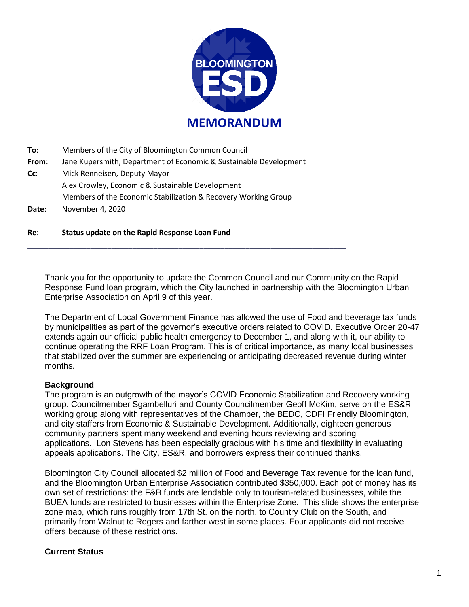

**To**: Members of the City of Bloomington Common Council

**From**: Jane Kupersmith, Department of Economic & Sustainable Development

**\_\_\_\_\_\_\_\_\_\_\_\_\_\_\_\_\_\_\_\_\_\_\_\_\_\_\_\_\_\_\_\_\_\_\_\_\_\_\_\_\_\_\_\_\_\_\_\_\_\_\_\_\_\_\_\_\_\_\_\_\_\_\_\_\_\_\_\_\_\_\_\_\_\_\_\_**

**Cc**: Mick Renneisen, Deputy Mayor Alex Crowley, Economic & Sustainable Development Members of the Economic Stabilization & Recovery Working Group **Date**: November 4, 2020

### **Re**: **Status update on the Rapid Response Loan Fund**

Thank you for the opportunity to update the Common Council and our Community on the Rapid Response Fund loan program, which the City launched in partnership with the Bloomington Urban Enterprise Association on April 9 of this year.

The Department of Local Government Finance has allowed the use of Food and beverage tax funds by municipalities as part of the governor's executive orders related to COVID. Executive Order 20-47 extends again our official public health emergency to December 1, and along with it, our ability to continue operating the RRF Loan Program. This is of critical importance, as many local businesses that stabilized over the summer are experiencing or anticipating decreased revenue during winter months.

#### **Background**

The program is an outgrowth of the mayor's COVID Economic Stabilization and Recovery working group. Councilmember Sgambelluri and County Councilmember Geoff McKim, serve on the ES&R working group along with representatives of the Chamber, the BEDC, CDFI Friendly Bloomington, and city staffers from Economic & Sustainable Development. Additionally, eighteen generous community partners spent many weekend and evening hours reviewing and scoring applications. Lon Stevens has been especially gracious with his time and flexibility in evaluating appeals applications. The City, ES&R, and borrowers express their continued thanks.

Bloomington City Council allocated \$2 million of Food and Beverage Tax revenue for the loan fund, and the Bloomington Urban Enterprise Association contributed \$350,000. Each pot of money has its own set of restrictions: the F&B funds are lendable only to tourism-related businesses, while the BUEA funds are restricted to businesses within the Enterprise Zone. This slide shows the enterprise zone map, which runs roughly from 17th St. on the north, to Country Club on the South, and primarily from Walnut to Rogers and farther west in some places. Four applicants did not receive offers because of these restrictions.

## **Current Status**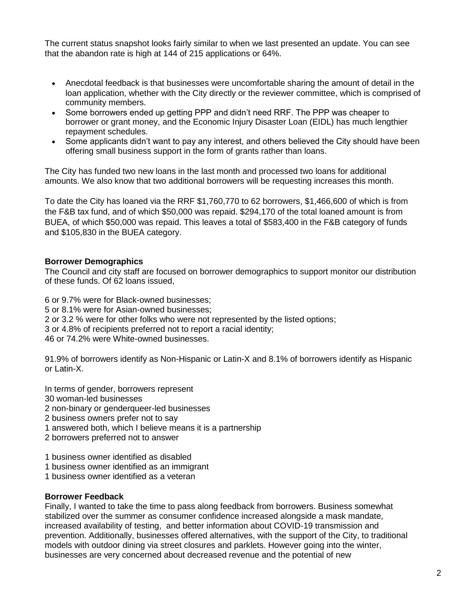The current status snapshot looks fairly similar to when we last presented an update. You can see that the abandon rate is high at 144 of 215 applications or 64%.

- Anecdotal feedback is that businesses were uncomfortable sharing the amount of detail in the loan application, whether with the City directly or the reviewer committee, which is comprised of community members.
- Some borrowers ended up getting PPP and didn't need RRF. The PPP was cheaper to borrower or grant money, and the Economic Injury Disaster Loan (EIDL) has much lengthier repayment schedules.
- Some applicants didn't want to pay any interest, and others believed the City should have been offering small business support in the form of grants rather than loans.

The City has funded two new loans in the last month and processed two loans for additional amounts. We also know that two additional borrowers will be requesting increases this month.

To date the City has loaned via the RRF \$1,760,770 to 62 borrowers, \$1,466,600 of which is from the F&B tax fund, and of which \$50,000 was repaid. \$294,170 of the total loaned amount is from BUEA, of which \$50,000 was repaid. This leaves a total of \$583,400 in the F&B category of funds and \$105,830 in the BUEA category.

# **Borrower Demographics**

The Council and city staff are focused on borrower demographics to support monitor our distribution of these funds. Of 62 loans issued,

6 or 9.7% were for Black-owned businesses; 5 or 8.1% were for Asian-owned businesses; 2 or 3.2 % were for other folks who were not represented by the listed options; 3 or 4.8% of recipients preferred not to report a racial identity; 46 or 74.2% were White-owned businesses.

91.9% of borrowers identify as Non-Hispanic or Latin-X and 8.1% of borrowers identify as Hispanic or Latin-X.

- In terms of gender, borrowers represent 30 woman-led businesses 2 non-binary or genderqueer-led businesses 2 business owners prefer not to say
- 1 answered both, which I believe means it is a partnership
- 2 borrowers preferred not to answer
- 1 business owner identified as disabled
- 1 business owner identified as an immigrant
- 1 business owner identified as a veteran

## **Borrower Feedback**

Finally, I wanted to take the time to pass along feedback from borrowers. Business somewhat stabilized over the summer as consumer confidence increased alongside a mask mandate, increased availability of testing, and better information about COVID-19 transmission and prevention. Additionally, businesses offered alternatives, with the support of the City, to traditional models with outdoor dining via street closures and parklets. However going into the winter, businesses are very concerned about decreased revenue and the potential of new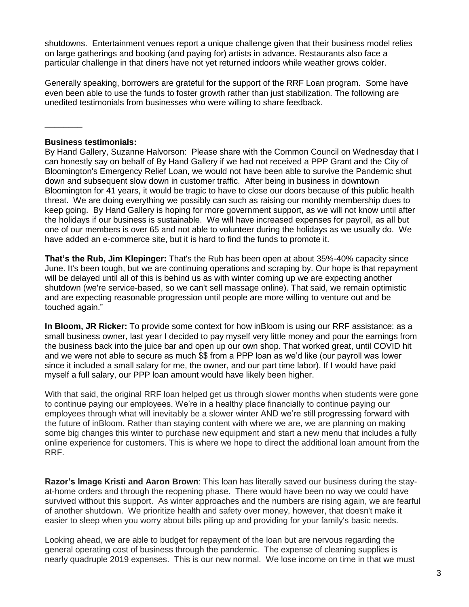shutdowns. Entertainment venues report a unique challenge given that their business model relies on large gatherings and booking (and paying for) artists in advance. Restaurants also face a particular challenge in that diners have not yet returned indoors while weather grows colder.

Generally speaking, borrowers are grateful for the support of the RRF Loan program. Some have even been able to use the funds to foster growth rather than just stabilization. The following are unedited testimonials from businesses who were willing to share feedback.

### **Business testimonials:**

\_\_\_\_\_\_\_\_

By Hand Gallery, Suzanne Halvorson: Please share with the Common Council on Wednesday that I can honestly say on behalf of By Hand Gallery if we had not received a PPP Grant and the City of Bloomington's Emergency Relief Loan, we would not have been able to survive the Pandemic shut down and subsequent slow down in customer traffic. After being in business in downtown Bloomington for 41 years, it would be tragic to have to close our doors because of this public health threat. We are doing everything we possibly can such as raising our monthly membership dues to keep going. By Hand Gallery is hoping for more government support, as we will not know until after the holidays if our business is sustainable. We will have increased expenses for payroll, as all but one of our members is over 65 and not able to volunteer during the holidays as we usually do. We have added an e-commerce site, but it is hard to find the funds to promote it.

**That's the Rub, Jim Klepinger:** That's the Rub has been open at about 35%-40% capacity since June. It's been tough, but we are continuing operations and scraping by. Our hope is that repayment will be delayed until all of this is behind us as with winter coming up we are expecting another shutdown (we're service-based, so we can't sell massage online). That said, we remain optimistic and are expecting reasonable progression until people are more willing to venture out and be touched again."

**In Bloom, JR Ricker:** To provide some context for how inBloom is using our RRF assistance: as a small business owner, last year I decided to pay myself very little money and pour the earnings from the business back into the juice bar and open up our own shop. That worked great, until COVID hit and we were not able to secure as much \$\$ from a PPP loan as we'd like (our payroll was lower since it included a small salary for me, the owner, and our part time labor). If I would have paid myself a full salary, our PPP loan amount would have likely been higher.

With that said, the original RRF loan helped get us through slower months when students were gone to continue paying our employees. We're in a healthy place financially to continue paying our employees through what will inevitably be a slower winter AND we're still progressing forward with the future of inBloom. Rather than staying content with where we are, we are planning on making some big changes this winter to purchase new equipment and start a new menu that includes a fully online experience for customers. This is where we hope to direct the additional loan amount from the RRF.

**Razor's Image Kristi and Aaron Brown**: This loan has literally saved our business during the stayat-home orders and through the reopening phase. There would have been no way we could have survived without this support. As winter approaches and the numbers are rising again, we are fearful of another shutdown. We prioritize health and safety over money, however, that doesn't make it easier to sleep when you worry about bills piling up and providing for your family's basic needs.

Looking ahead, we are able to budget for repayment of the loan but are nervous regarding the general operating cost of business through the pandemic. The expense of cleaning supplies is nearly quadruple 2019 expenses. This is our new normal. We lose income on time in that we must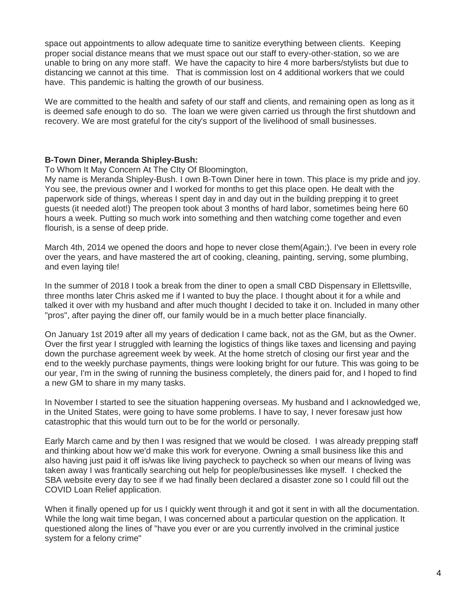space out appointments to allow adequate time to sanitize everything between clients. Keeping proper social distance means that we must space out our staff to every-other-station, so we are unable to bring on any more staff. We have the capacity to hire 4 more barbers/stylists but due to distancing we cannot at this time. That is commission lost on 4 additional workers that we could have. This pandemic is halting the growth of our business.

We are committed to the health and safety of our staff and clients, and remaining open as long as it is deemed safe enough to do so. The loan we were given carried us through the first shutdown and recovery. We are most grateful for the city's support of the livelihood of small businesses.

## **B-Town Diner, Meranda Shipley-Bush:**

To Whom It May Concern At The CIty Of Bloomington,

My name is Meranda Shipley-Bush. I own B-Town Diner here in town. This place is my pride and joy. You see, the previous owner and I worked for months to get this place open. He dealt with the paperwork side of things, whereas I spent day in and day out in the building prepping it to greet guests (it needed alot!) The preopen took about 3 months of hard labor, sometimes being here 60 hours a week. Putting so much work into something and then watching come together and even flourish, is a sense of deep pride.

March 4th, 2014 we opened the doors and hope to never close them(Again;). I've been in every role over the years, and have mastered the art of cooking, cleaning, painting, serving, some plumbing, and even laying tile!

In the summer of 2018 I took a break from the diner to open a small CBD Dispensary in Ellettsville, three months later Chris asked me if I wanted to buy the place. I thought about it for a while and talked it over with my husband and after much thought I decided to take it on. Included in many other "pros", after paying the diner off, our family would be in a much better place financially.

On January 1st 2019 after all my years of dedication I came back, not as the GM, but as the Owner. Over the first year I struggled with learning the logistics of things like taxes and licensing and paying down the purchase agreement week by week. At the home stretch of closing our first year and the end to the weekly purchase payments, things were looking bright for our future. This was going to be our year, I'm in the swing of running the business completely, the diners paid for, and I hoped to find a new GM to share in my many tasks.

In November I started to see the situation happening overseas. My husband and I acknowledged we, in the United States, were going to have some problems. I have to say, I never foresaw just how catastrophic that this would turn out to be for the world or personally.

Early March came and by then I was resigned that we would be closed. I was already prepping staff and thinking about how we'd make this work for everyone. Owning a small business like this and also having just paid it off is/was like living paycheck to paycheck so when our means of living was taken away I was frantically searching out help for people/businesses like myself. I checked the SBA website every day to see if we had finally been declared a disaster zone so I could fill out the COVID Loan Relief application.

When it finally opened up for us I quickly went through it and got it sent in with all the documentation. While the long wait time began, I was concerned about a particular question on the application. It questioned along the lines of "have you ever or are you currently involved in the criminal justice system for a felony crime"